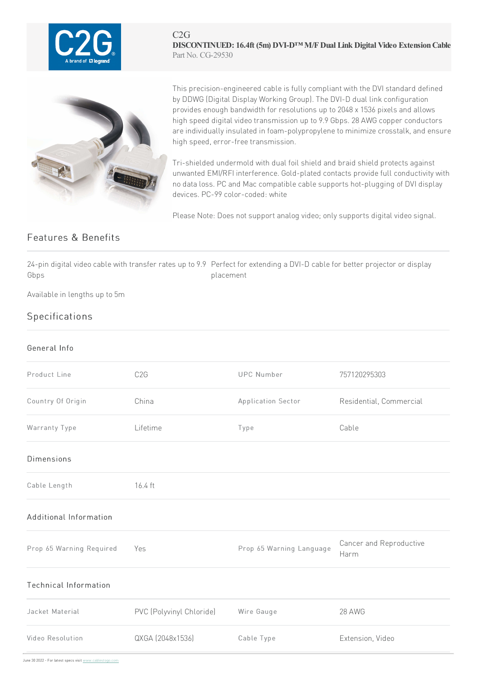

C2G **DISCONTINUED: 16.4ft (5m) DVI-D™ M/FDual Link Digital Video ExtensionCable** Part No. CG-29530



This precision-engineered cable is fully compliant with the DVI standard defined by DDWG (Digital Display Working Group).The DVI-D dual linkconfiguration provides enough bandwidth for resolutions up to 2048 x 1536 pixels and allows high speed digital video transmission up to 9.9 Gbps. 28 AWG copper conductors are individually insulated in foam-polypropylene to minimize crosstalk, and ensure high speed, error-free transmission.

Tri-shielded undermold with dual foil shield and braid shield protects against unwanted EMI/RFI interference. Gold-plated contacts provide full conductivity with no data loss. PC and Mac compatible cable supports hot-plugging of DVI display devices. PC-99 color-coded: white

Please Note: Does not support analog video; only supports digital video signal.

## Features & Benefits

24-pin digital video cable with transfer rates up to 9.9 Perfect for extending a DVI-D cable for better projector or display Gbps placement

Available in lengths up to 5m

## **Specifications**

## General Info

| Product Line                 | C <sub>2</sub> G         | <b>UPC Number</b>        | 757120295303                    |
|------------------------------|--------------------------|--------------------------|---------------------------------|
| Country Of Origin            | China                    | Application Sector       | Residential, Commercial         |
| Warranty Type                | Lifetime                 | Type                     | Cable                           |
| <b>Dimensions</b>            |                          |                          |                                 |
| Cable Length                 | 16.4 ft                  |                          |                                 |
| Additional Information       |                          |                          |                                 |
| Prop 65 Warning Required     | Yes                      | Prop 65 Warning Language | Cancer and Reproductive<br>Harm |
| <b>Technical Information</b> |                          |                          |                                 |
| Jacket Material              | PVC (Polyvinyl Chloride) | Wire Gauge               | 28 AWG                          |
| Video Resolution             | QXGA (2048x1536)         | Cable Type               | Extension, Video                |

June30 2022 -For latest specs visit www.cablestogo.com